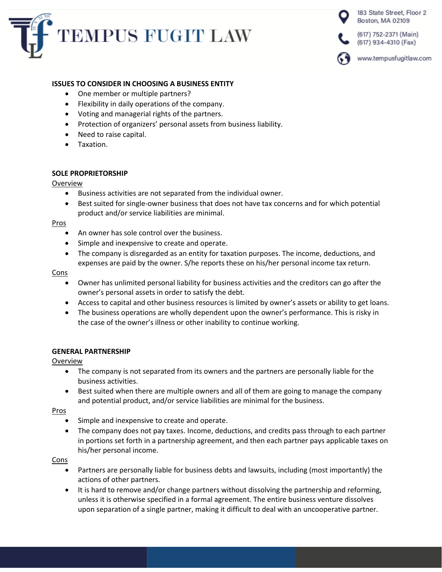



## **ISSUES TO CONSIDER IN CHOOSING A BUSINESS ENTITY**

- One member or multiple partners?
- Flexibility in daily operations of the company.
- Voting and managerial rights of the partners.
- Protection of organizers' personal assets from business liability.
- Need to raise capital.
- Taxation.

### **SOLE PROPRIETORSHIP**

#### Overview

- Business activities are not separated from the individual owner.
- Best suited for single-owner business that does not have tax concerns and for which potential product and/or service liabilities are minimal.

### Pros

- An owner has sole control over the business.
- Simple and inexpensive to create and operate.
- The company is disregarded as an entity for taxation purposes. The income, deductions, and expenses are paid by the owner. S/he reports these on his/her personal income tax return.

#### **Cons**

- Owner has unlimited personal liability for business activities and the creditors can go after the owner's personal assets in order to satisfy the debt.
- Access to capital and other business resources is limited by owner's assets or ability to get loans.
- The business operations are wholly dependent upon the owner's performance. This is risky in the case of the owner's illness or other inability to continue working.

### **GENERAL PARTNERSHIP**

### Overview

- The company is not separated from its owners and the partners are personally liable for the business activities.
- Best suited when there are multiple owners and all of them are going to manage the company and potential product, and/or service liabilities are minimal for the business.

Pros

- Simple and inexpensive to create and operate.
- The company does not pay taxes. Income, deductions, and credits pass through to each partner in portions set forth in a partnership agreement, and then each partner pays applicable taxes on his/her personal income.

### **Cons**

- Partners are personally liable for business debts and lawsuits, including (most importantly) the actions of other partners.
- It is hard to remove and/or change partners without dissolving the partnership and reforming, unless it is otherwise specified in a formal agreement. The entire business venture dissolves upon separation of a single partner, making it difficult to deal with an uncooperative partner.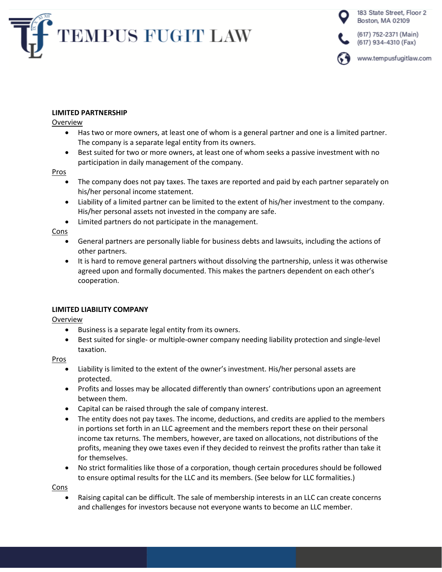



# **LIMITED PARTNERSHIP**

Overview

- Has two or more owners, at least one of whom is a general partner and one is a limited partner. The company is a separate legal entity from its owners.
- Best suited for two or more owners, at least one of whom seeks a passive investment with no participation in daily management of the company.

## **Pros**

- The company does not pay taxes. The taxes are reported and paid by each partner separately on his/her personal income statement.
- Liability of a limited partner can be limited to the extent of his/her investment to the company. His/her personal assets not invested in the company are safe.
- Limited partners do not participate in the management.

Cons

- General partners are personally liable for business debts and lawsuits, including the actions of other partners.
- It is hard to remove general partners without dissolving the partnership, unless it was otherwise agreed upon and formally documented. This makes the partners dependent on each other's cooperation.

# **LIMITED LIABILITY COMPANY**

Overview

- Business is a separate legal entity from its owners.
- Best suited for single- or multiple-owner company needing liability protection and single-level taxation.

Pros

- Liability is limited to the extent of the owner's investment. His/her personal assets are protected.
- Profits and losses may be allocated differently than owners' contributions upon an agreement between them.
- Capital can be raised through the sale of company interest.
- The entity does not pay taxes. The income, deductions, and credits are applied to the members in portions set forth in an LLC agreement and the members report these on their personal income tax returns. The members, however, are taxed on allocations, not distributions of the profits, meaning they owe taxes even if they decided to reinvest the profits rather than take it for themselves.
- No strict formalities like those of a corporation, though certain procedures should be followed to ensure optimal results for the LLC and its members. (See below for LLC formalities.)

Cons

• Raising capital can be difficult. The sale of membership interests in an LLC can create concerns and challenges for investors because not everyone wants to become an LLC member.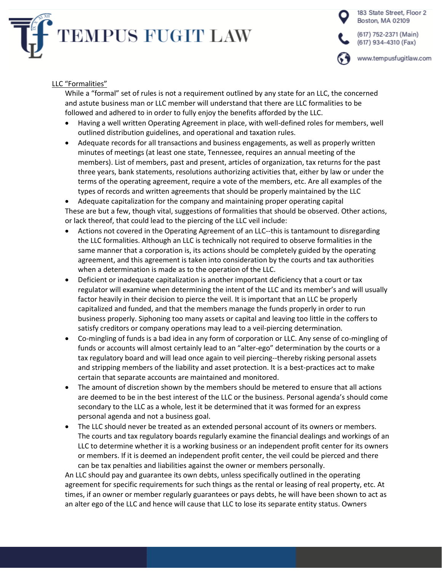



# LLC "Formalities"

While a "formal" set of rules is not a requirement outlined by any state for an LLC, the concerned and astute business man or LLC member will understand that there are LLC formalities to be followed and adhered to in order to fully enjoy the benefits afforded by the LLC.

- Having a well written Operating Agreement in place, with well-defined roles for members, well outlined distribution guidelines, and operational and taxation rules.
- Adequate records for all transactions and business engagements, as well as properly written minutes of meetings (at least one state, Tennessee, requires an annual meeting of the members). List of members, past and present, articles of organization, tax returns for the past three years, bank statements, resolutions authorizing activities that, either by law or under the terms of the operating agreement, require a vote of the members, etc. Are all examples of the types of records and written agreements that should be properly maintained by the LLC

• Adequate capitalization for the company and maintaining proper operating capital These are but a few, though vital, suggestions of formalities that should be observed. Other actions, or lack thereof, that could lead to the piercing of the LLC veil include:

- Actions not covered in the Operating Agreement of an LLC--this is tantamount to disregarding the LLC formalities. Although an LLC is technically not required to observe formalities in the same manner that a corporation is, its actions should be completely guided by the operating agreement, and this agreement is taken into consideration by the courts and tax authorities when a determination is made as to the operation of the LLC.
- Deficient or inadequate capitalization is another important deficiency that a court or tax regulator will examine when determining the intent of the LLC and its member's and will usually factor heavily in their decision to pierce the veil. It is important that an LLC be properly capitalized and funded, and that the members manage the funds properly in order to run business properly. Siphoning too many assets or capital and leaving too little in the coffers to satisfy creditors or company operations may lead to a veil-piercing determination.
- Co-mingling of funds is a bad idea in any form of corporation or LLC. Any sense of co-mingling of funds or accounts will almost certainly lead to an "alter-ego" determination by the courts or a tax regulatory board and will lead once again to veil piercing--thereby risking personal assets and stripping members of the liability and asset protection. It is a best-practices act to make certain that separate accounts are maintained and monitored.
- The amount of discretion shown by the members should be metered to ensure that all actions are deemed to be in the best interest of the LLC or the business. Personal agenda's should come secondary to the LLC as a whole, lest it be determined that it was formed for an express personal agenda and not a business goal.
- The LLC should never be treated as an extended personal account of its owners or members. The courts and tax regulatory boards regularly examine the financial dealings and workings of an LLC to determine whether it is a working business or an independent profit center for its owners or members. If it is deemed an independent profit center, the veil could be pierced and there can be tax penalties and liabilities against the owner or members personally.

An LLC should pay and guarantee its own debts, unless specifically outlined in the operating agreement for specific requirements for such things as the rental or leasing of real property, etc. At times, if an owner or member regularly guarantees or pays debts, he will have been shown to act as an alter ego of the LLC and hence will cause that LLC to lose its separate entity status. Owners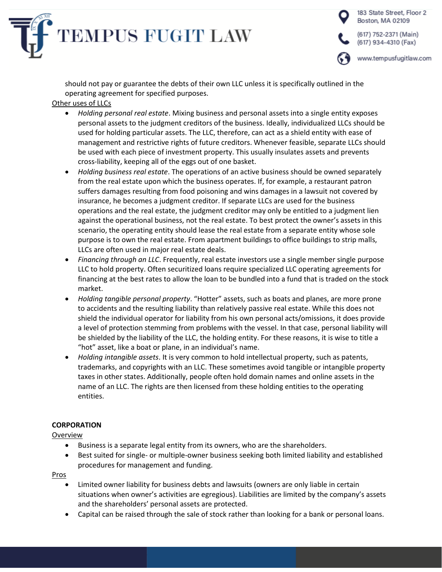

183 State Street, Floor 2 Boston, MA 02109 (617) 752-2371 (Main) (617) 934-4310 (Fax) www.tempusfugitlaw.com

should not pay or guarantee the debts of their own LLC unless it is specifically outlined in the operating agreement for specified purposes.

# Other uses of LLCs

- *Holding personal real estate*. Mixing business and personal assets into a single entity exposes personal assets to the judgment creditors of the business. Ideally, individualized LLCs should be used for holding particular assets. The LLC, therefore, can act as a shield entity with ease of management and restrictive rights of future creditors. Whenever feasible, separate LLCs should be used with each piece of investment property. This usually insulates assets and prevents cross-liability, keeping all of the eggs out of one basket.
- *Holding business real estate*. The operations of an active business should be owned separately from the real estate upon which the business operates. If, for example, a restaurant patron suffers damages resulting from food poisoning and wins damages in a lawsuit not covered by insurance, he becomes a judgment creditor. If separate LLCs are used for the business operations and the real estate, the judgment creditor may only be entitled to a judgment lien against the operational business, not the real estate. To best protect the owner's assets in this scenario, the operating entity should lease the real estate from a separate entity whose sole purpose is to own the real estate. From apartment buildings to office buildings to strip malls, LLCs are often used in major real estate deals.
- *Financing through an LLC*. Frequently, real estate investors use a single member single purpose LLC to hold property. Often securitized loans require specialized LLC operating agreements for financing at the best rates to allow the loan to be bundled into a fund that is traded on the stock market.
- *Holding tangible personal property*. "Hotter" assets, such as boats and planes, are more prone to accidents and the resulting liability than relatively passive real estate. While this does not shield the individual operator for liability from his own personal acts/omissions, it does provide a level of protection stemming from problems with the vessel. In that case, personal liability will be shielded by the liability of the LLC, the holding entity. For these reasons, it is wise to title a "hot" asset, like a boat or plane, in an individual's name.
- *Holding intangible assets*. It is very common to hold intellectual property, such as patents, trademarks, and copyrights with an LLC. These sometimes avoid tangible or intangible property taxes in other states. Additionally, people often hold domain names and online assets in the name of an LLC. The rights are then licensed from these holding entities to the operating entities.

# **CORPORATION**

# Overview

- Business is a separate legal entity from its owners, who are the shareholders.
- Best suited for single- or multiple-owner business seeking both limited liability and established procedures for management and funding.

# Pros

- Limited owner liability for business debts and lawsuits (owners are only liable in certain situations when owner's activities are egregious). Liabilities are limited by the company's assets and the shareholders' personal assets are protected.
- Capital can be raised through the sale of stock rather than looking for a bank or personal loans.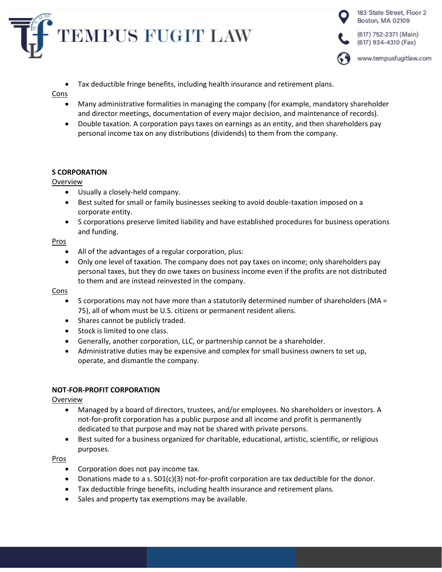



• Tax deductible fringe benefits, including health insurance and retirement plans.

## **Cons**

- Many administrative formalities in managing the company (for example, mandatory shareholder and director meetings, documentation of every major decision, and maintenance of records).
- Double taxation. A corporation pays taxes on earnings as an entity, and then shareholders pay personal income tax on any distributions (dividends) to them from the company.

# **S CORPORATION**

## Overview

- Usually a closely-held company.
- Best suited for small or family businesses seeking to avoid double-taxation imposed on a corporate entity.
- S corporations preserve limited liability and have established procedures for business operations and funding.

## Pros

- All of the advantages of a regular corporation, plus:
- Only one level of taxation. The company does not pay taxes on income; only shareholders pay personal taxes, but they do owe taxes on business income even if the profits are not distributed to them and are instead reinvested in the company.

# Cons

- S corporations may not have more than a statutorily determined number of shareholders (MA = 75), all of whom must be U.S. citizens or permanent resident aliens.
- Shares cannot be publicly traded.
- Stock is limited to one class.
- Generally, another corporation, LLC, or partnership cannot be a shareholder.
- Administrative duties may be expensive and complex for small business owners to set up, operate, and dismantle the company.

# **NOT-FOR-PROFIT CORPORATION**

# Overview

- Managed by a board of directors, trustees, and/or employees. No shareholders or investors. A not-for-profit corporation has a public purpose and all income and profit is permanently dedicated to that purpose and may not be shared with private persons.
- Best suited for a business organized for charitable, educational, artistic, scientific, or religious purposes.

# Pros

- Corporation does not pay income tax.
- Donations made to a s. 501(c)(3) not-for-profit corporation are tax deductible for the donor.
- Tax deductible fringe benefits, including health insurance and retirement plans.
- Sales and property tax exemptions may be available.